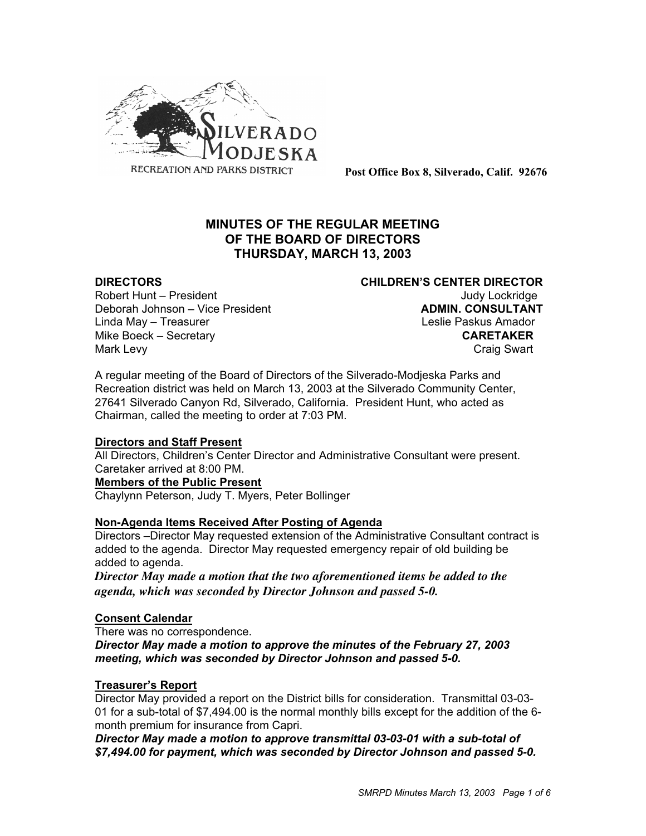

**Post Office Box 8, Silverado, Calif. 92676**

# **MINUTES OF THE REGULAR MEETING OF THE BOARD OF DIRECTORS THURSDAY, MARCH 13, 2003**

Robert Hunt – President View March 1999 and Judy Lockridge Deborah Johnson – Vice President **ADMIN. CONSULTANT** Linda May – Treasurer Leslie Paskus Amador Mike Boeck – Secretary **CARETAKER** Mark Levy **Craig Swart** 

**DIRECTORS CHILDREN'S CENTER DIRECTOR**

A regular meeting of the Board of Directors of the Silverado-Modjeska Parks and Recreation district was held on March 13, 2003 at the Silverado Community Center, 27641 Silverado Canyon Rd, Silverado, California. President Hunt, who acted as Chairman, called the meeting to order at 7:03 PM.

#### **Directors and Staff Present**

All Directors, Children's Center Director and Administrative Consultant were present. Caretaker arrived at 8:00 PM.

#### **Members of the Public Present**

Chaylynn Peterson, Judy T. Myers, Peter Bollinger

# **Non-Agenda Items Received After Posting of Agenda**

Directors –Director May requested extension of the Administrative Consultant contract is added to the agenda. Director May requested emergency repair of old building be added to agenda.

*Director May made a motion that the two aforementioned items be added to the agenda, which was seconded by Director Johnson and passed 5-0.*

# **Consent Calendar**

There was no correspondence.

*Director May made a motion to approve the minutes of the February 27, 2003 meeting, which was seconded by Director Johnson and passed 5-0.*

# **Treasurer's Report**

Director May provided a report on the District bills for consideration. Transmittal 03-03- 01 for a sub-total of \$7,494.00 is the normal monthly bills except for the addition of the 6 month premium for insurance from Capri.

*Director May made a motion to approve transmittal 03-03-01 with a sub-total of \$7,494.00 for payment, which was seconded by Director Johnson and passed 5-0.*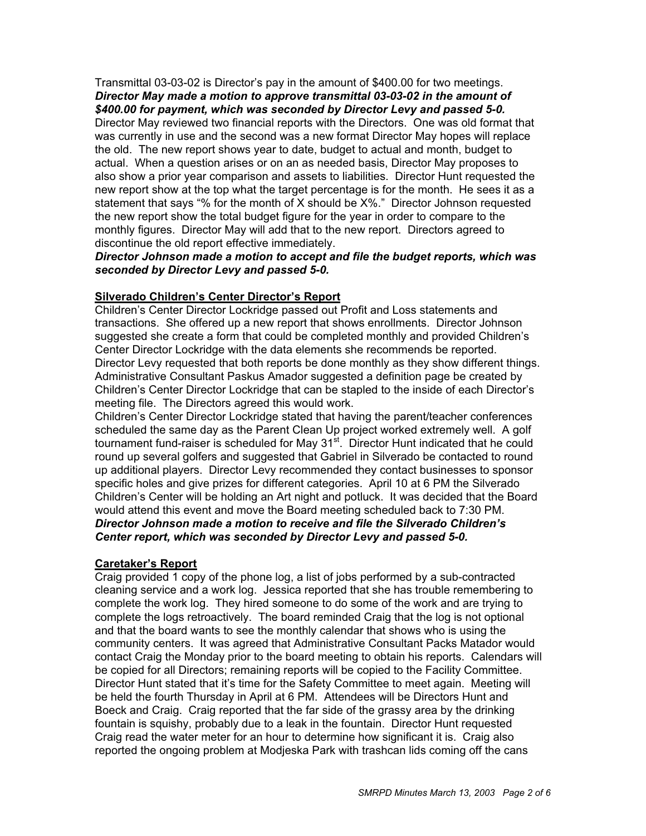Transmittal 03-03-02 is Director's pay in the amount of \$400.00 for two meetings. *Director May made a motion to approve transmittal 03-03-02 in the amount of \$400.00 for payment, which was seconded by Director Levy and passed 5-0.*

Director May reviewed two financial reports with the Directors. One was old format that was currently in use and the second was a new format Director May hopes will replace the old. The new report shows year to date, budget to actual and month, budget to actual. When a question arises or on an as needed basis, Director May proposes to also show a prior year comparison and assets to liabilities. Director Hunt requested the new report show at the top what the target percentage is for the month. He sees it as a statement that says "% for the month of X should be X%." Director Johnson requested the new report show the total budget figure for the year in order to compare to the monthly figures. Director May will add that to the new report. Directors agreed to discontinue the old report effective immediately.

### *Director Johnson made a motion to accept and file the budget reports, which was seconded by Director Levy and passed 5-0.*

### **Silverado Children's Center Director's Report**

Children's Center Director Lockridge passed out Profit and Loss statements and transactions. She offered up a new report that shows enrollments. Director Johnson suggested she create a form that could be completed monthly and provided Children's Center Director Lockridge with the data elements she recommends be reported. Director Levy requested that both reports be done monthly as they show different things. Administrative Consultant Paskus Amador suggested a definition page be created by Children's Center Director Lockridge that can be stapled to the inside of each Director's meeting file. The Directors agreed this would work.

Children's Center Director Lockridge stated that having the parent/teacher conferences scheduled the same day as the Parent Clean Up project worked extremely well. A golf tournament fund-raiser is scheduled for May 31<sup>st</sup>. Director Hunt indicated that he could round up several golfers and suggested that Gabriel in Silverado be contacted to round up additional players. Director Levy recommended they contact businesses to sponsor specific holes and give prizes for different categories. April 10 at 6 PM the Silverado Children's Center will be holding an Art night and potluck. It was decided that the Board would attend this event and move the Board meeting scheduled back to 7:30 PM. *Director Johnson made a motion to receive and file the Silverado Children's Center report, which was seconded by Director Levy and passed 5-0.*

#### **Caretaker's Report**

Craig provided 1 copy of the phone log, a list of jobs performed by a sub-contracted cleaning service and a work log. Jessica reported that she has trouble remembering to complete the work log. They hired someone to do some of the work and are trying to complete the logs retroactively. The board reminded Craig that the log is not optional and that the board wants to see the monthly calendar that shows who is using the community centers. It was agreed that Administrative Consultant Packs Matador would contact Craig the Monday prior to the board meeting to obtain his reports. Calendars will be copied for all Directors; remaining reports will be copied to the Facility Committee. Director Hunt stated that it's time for the Safety Committee to meet again. Meeting will be held the fourth Thursday in April at 6 PM. Attendees will be Directors Hunt and Boeck and Craig. Craig reported that the far side of the grassy area by the drinking fountain is squishy, probably due to a leak in the fountain. Director Hunt requested Craig read the water meter for an hour to determine how significant it is. Craig also reported the ongoing problem at Modjeska Park with trashcan lids coming off the cans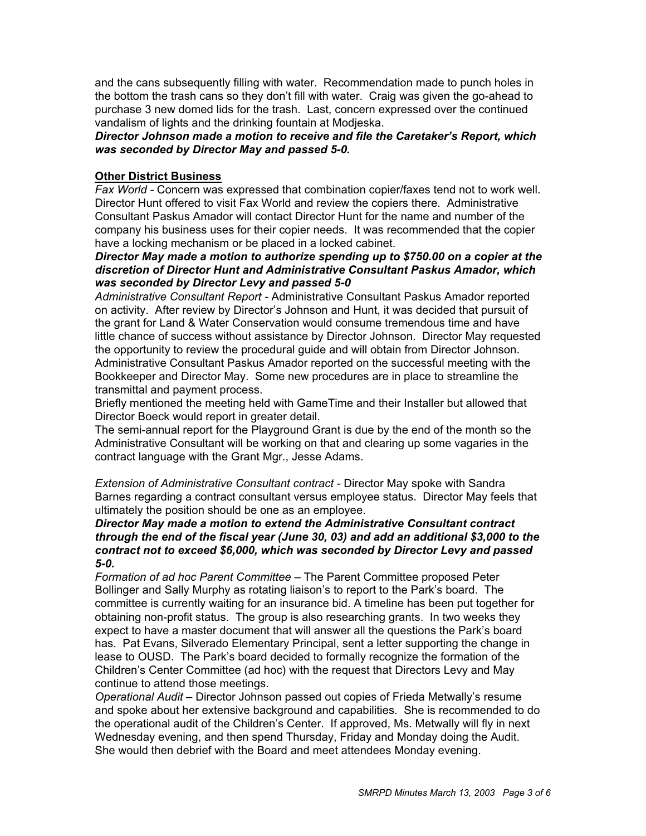and the cans subsequently filling with water. Recommendation made to punch holes in the bottom the trash cans so they don't fill with water. Craig was given the go-ahead to purchase 3 new domed lids for the trash. Last, concern expressed over the continued vandalism of lights and the drinking fountain at Modjeska.

### *Director Johnson made a motion to receive and file the Caretaker's Report, which was seconded by Director May and passed 5-0.*

#### **Other District Business**

*Fax World -* Concern was expressed that combination copier/faxes tend not to work well. Director Hunt offered to visit Fax World and review the copiers there. Administrative Consultant Paskus Amador will contact Director Hunt for the name and number of the company his business uses for their copier needs. It was recommended that the copier have a locking mechanism or be placed in a locked cabinet.

*Director May made a motion to authorize spending up to \$750.00 on a copier at the discretion of Director Hunt and Administrative Consultant Paskus Amador, which was seconded by Director Levy and passed 5-0*

*Administrative Consultant Report -* Administrative Consultant Paskus Amador reported on activity. After review by Director's Johnson and Hunt, it was decided that pursuit of the grant for Land & Water Conservation would consume tremendous time and have little chance of success without assistance by Director Johnson. Director May requested the opportunity to review the procedural guide and will obtain from Director Johnson. Administrative Consultant Paskus Amador reported on the successful meeting with the Bookkeeper and Director May. Some new procedures are in place to streamline the transmittal and payment process.

Briefly mentioned the meeting held with GameTime and their Installer but allowed that Director Boeck would report in greater detail.

The semi-annual report for the Playground Grant is due by the end of the month so the Administrative Consultant will be working on that and clearing up some vagaries in the contract language with the Grant Mgr., Jesse Adams.

*Extension of Administrative Consultant contract -* Director May spoke with Sandra Barnes regarding a contract consultant versus employee status. Director May feels that ultimately the position should be one as an employee.

#### *Director May made a motion to extend the Administrative Consultant contract through the end of the fiscal year (June 30, 03) and add an additional \$3,000 to the contract not to exceed \$6,000, which was seconded by Director Levy and passed 5-0.*

*Formation of ad hoc Parent Committee –* The Parent Committee proposed Peter Bollinger and Sally Murphy as rotating liaison's to report to the Park's board. The committee is currently waiting for an insurance bid. A timeline has been put together for obtaining non-profit status. The group is also researching grants. In two weeks they expect to have a master document that will answer all the questions the Park's board has. Pat Evans, Silverado Elementary Principal, sent a letter supporting the change in lease to OUSD. The Park's board decided to formally recognize the formation of the Children's Center Committee (ad hoc) with the request that Directors Levy and May continue to attend those meetings.

*Operational Audit –* Director Johnson passed out copies of Frieda Metwally's resume and spoke about her extensive background and capabilities. She is recommended to do the operational audit of the Children's Center. If approved, Ms. Metwally will fly in next Wednesday evening, and then spend Thursday, Friday and Monday doing the Audit. She would then debrief with the Board and meet attendees Monday evening.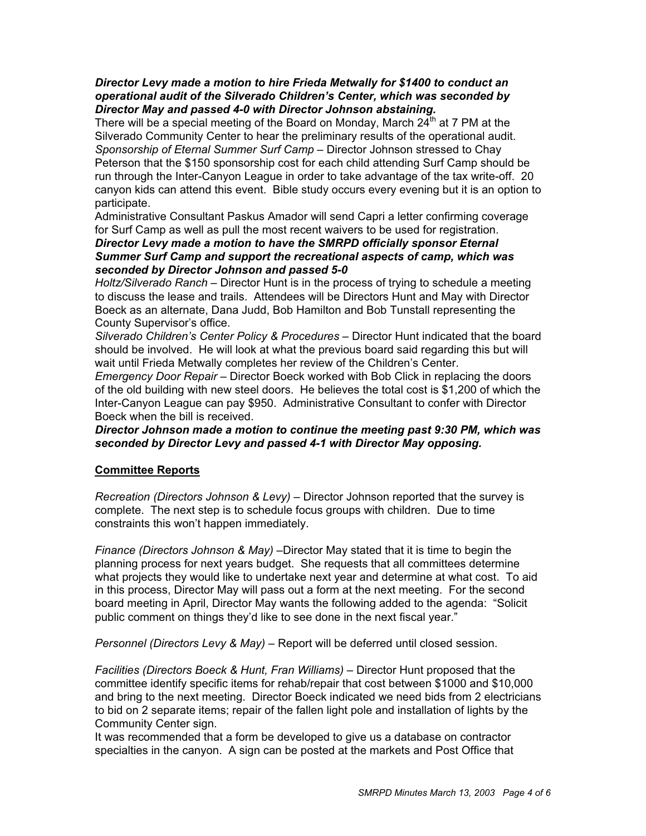#### *Director Levy made a motion to hire Frieda Metwally for \$1400 to conduct an operational audit of the Silverado Children's Center, which was seconded by Director May and passed 4-0 with Director Johnson abstaining.*

There will be a special meeting of the Board on Monday, March  $24<sup>th</sup>$  at 7 PM at the Silverado Community Center to hear the preliminary results of the operational audit. *Sponsorship of Eternal Summer Surf Camp –* Director Johnson stressed to Chay Peterson that the \$150 sponsorship cost for each child attending Surf Camp should be run through the Inter-Canyon League in order to take advantage of the tax write-off. 20 canyon kids can attend this event. Bible study occurs every evening but it is an option to participate.

Administrative Consultant Paskus Amador will send Capri a letter confirming coverage for Surf Camp as well as pull the most recent waivers to be used for registration.

#### *Director Levy made a motion to have the SMRPD officially sponsor Eternal Summer Surf Camp and support the recreational aspects of camp, which was seconded by Director Johnson and passed 5-0*

*Holtz/Silverado Ranch –* Director Hunt is in the process of trying to schedule a meeting to discuss the lease and trails. Attendees will be Directors Hunt and May with Director Boeck as an alternate, Dana Judd, Bob Hamilton and Bob Tunstall representing the County Supervisor's office.

*Silverado Children's Center Policy & Procedures –* Director Hunt indicated that the board should be involved. He will look at what the previous board said regarding this but will wait until Frieda Metwally completes her review of the Children's Center.

*Emergency Door Repair –* Director Boeck worked with Bob Click in replacing the doors of the old building with new steel doors. He believes the total cost is \$1,200 of which the Inter-Canyon League can pay \$950. Administrative Consultant to confer with Director Boeck when the bill is received.

### *Director Johnson made a motion to continue the meeting past 9:30 PM, which was seconded by Director Levy and passed 4-1 with Director May opposing.*

# **Committee Reports**

*Recreation (Directors Johnson & Levy) –* Director Johnson reported that the survey is complete. The next step is to schedule focus groups with children. Due to time constraints this won't happen immediately.

*Finance (Directors Johnson & May) –*Director May stated that it is time to begin the planning process for next years budget. She requests that all committees determine what projects they would like to undertake next year and determine at what cost. To aid in this process, Director May will pass out a form at the next meeting. For the second board meeting in April, Director May wants the following added to the agenda: "Solicit public comment on things they'd like to see done in the next fiscal year."

*Personnel (Directors Levy & May) –* Report will be deferred until closed session.

*Facilities (Directors Boeck & Hunt, Fran Williams) –* Director Hunt proposed that the committee identify specific items for rehab/repair that cost between \$1000 and \$10,000 and bring to the next meeting. Director Boeck indicated we need bids from 2 electricians to bid on 2 separate items; repair of the fallen light pole and installation of lights by the Community Center sign.

It was recommended that a form be developed to give us a database on contractor specialties in the canyon. A sign can be posted at the markets and Post Office that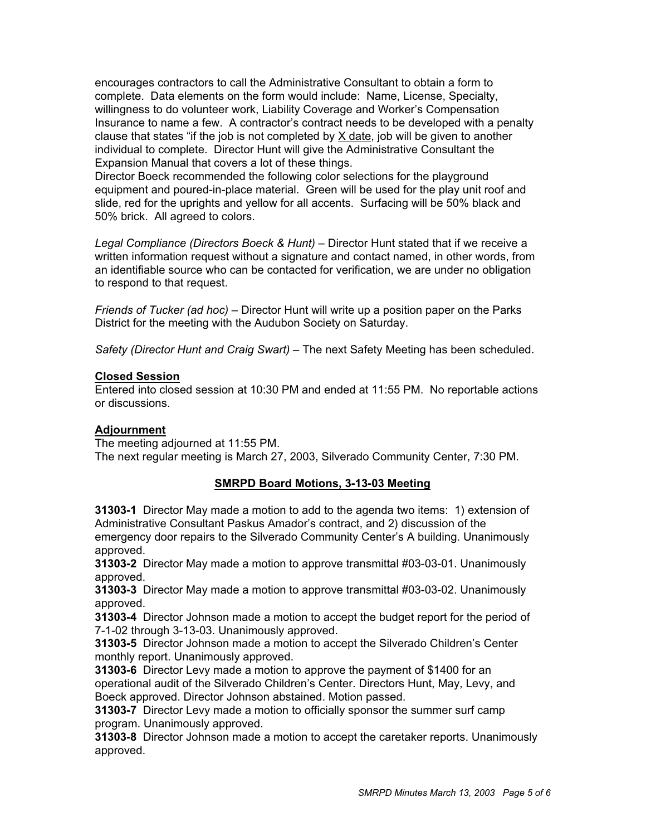encourages contractors to call the Administrative Consultant to obtain a form to complete. Data elements on the form would include: Name, License, Specialty, willingness to do volunteer work, Liability Coverage and Worker's Compensation Insurance to name a few. A contractor's contract needs to be developed with a penalty clause that states "if the job is not completed by X date, job will be given to another individual to complete. Director Hunt will give the Administrative Consultant the Expansion Manual that covers a lot of these things.

Director Boeck recommended the following color selections for the playground equipment and poured-in-place material. Green will be used for the play unit roof and slide, red for the uprights and yellow for all accents. Surfacing will be 50% black and 50% brick. All agreed to colors.

Legal Compliance (Directors Boeck & Hunt) - Director Hunt stated that if we receive a written information request without a signature and contact named, in other words, from an identifiable source who can be contacted for verification, we are under no obligation to respond to that request.

*Friends of Tucker (ad hoc) –* Director Hunt will write up a position paper on the Parks District for the meeting with the Audubon Society on Saturday.

*Safety (Director Hunt and Craig Swart) –* The next Safety Meeting has been scheduled.

# **Closed Session**

Entered into closed session at 10:30 PM and ended at 11:55 PM. No reportable actions or discussions.

# **Adjournment**

The meeting adjourned at 11:55 PM. The next regular meeting is March 27, 2003, Silverado Community Center, 7:30 PM.

# **SMRPD Board Motions, 3-13-03 Meeting**

**31303-1** Director May made a motion to add to the agenda two items: 1) extension of Administrative Consultant Paskus Amador's contract, and 2) discussion of the emergency door repairs to the Silverado Community Center's A building. Unanimously approved.

**31303-2** Director May made a motion to approve transmittal #03-03-01. Unanimously approved.

**31303-3** Director May made a motion to approve transmittal #03-03-02. Unanimously approved.

**31303-4** Director Johnson made a motion to accept the budget report for the period of 7-1-02 through 3-13-03. Unanimously approved.

**31303-5** Director Johnson made a motion to accept the Silverado Children's Center monthly report. Unanimously approved.

**31303-6** Director Levy made a motion to approve the payment of \$1400 for an operational audit of the Silverado Children's Center. Directors Hunt, May, Levy, and Boeck approved. Director Johnson abstained. Motion passed.

**31303-7** Director Levy made a motion to officially sponsor the summer surf camp program. Unanimously approved.

**31303-8** Director Johnson made a motion to accept the caretaker reports. Unanimously approved.